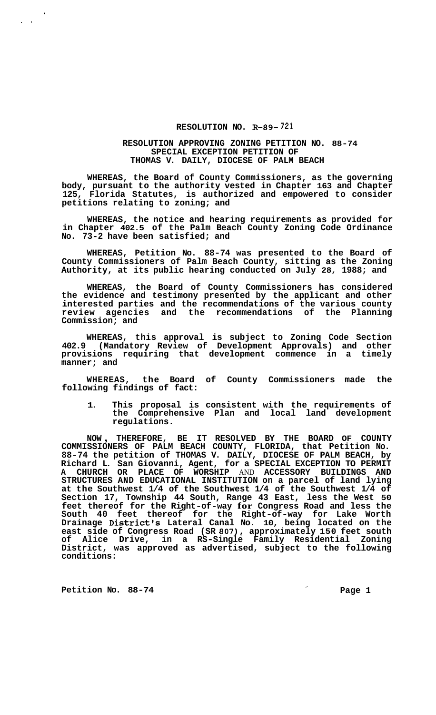## **RESOLUTION NO. R-89- 721**

## **RESOLUTION APPROVING ZONING PETITION NO. 88-74 SPECIAL EXCEPTION PETITION OF THOMAS V. DAILY, DIOCESE OF PALM BEACH**

**WHEREAS, the Board of County Commissioners, as the governing body, pursuant to the authority vested in Chapter 163 and Chapter 125, Florida Statutes, is authorized and empowered to consider petitions relating to zoning; and** 

**WHEREAS, the notice and hearing requirements as provided for in Chapter 402.5 of the Palm Beach County Zoning Code Ordinance No. 73-2 have been satisfied; and** 

**WHEREAS, Petition No. 88-74 was presented to the Board of County Commissioners of Palm Beach County, sitting as the Zoning Authority, at its public hearing conducted on July 28, 1988; and** 

**WHEREAS, the Board of County Commissioners has considered the evidence and testimony presented by the applicant and other interested parties and the recommendations of the various county review agencies and the recommendations of the Planning Commission; and** 

**WHEREAS, this approval is subject to Zoning Code Section 402.9 (Mandatory Review of Development Approvals) and other provisions requiring that development commence in a timely manner; and** 

**WHEREAS, the Board of County Commissioners made the following findings of fact:** 

**1. This proposal is consistent with the requirements of the Comprehensive Plan and local land development regulations.** 

**NOW** , **THEREFORE, BE IT RESOLVED BY THE BOARD OF COUNTY COMMISSIONERS OF PALM BEACH COUNTY, FLORIDA, that Petition No. 88-74 the petition of THOMAS V. DAILY, DIOCESE OF PALM BEACH, by Richard L. San Giovanni, Agent, for a SPECIAL EXCEPTION TO PERMIT A CHURCH OR PLACE OF WORSHIP** AND **ACCESSORY BUILDINGS AND STRUCTURES AND EDUCATIONAL INSTITUTION on a parcel of land lying at the Southwest 1/4 of the Southwest 1/4 of the Southwest 1/4 of Section 17, Township 44 South, Range 43 East, less the West 50 feet thereof for the Right-of-way for Congress Road and less the South 40 feet thereof for the Right-of-way for Lake Worth Drainage District's Lateral Canal No. 10, being located on the east side of Congress Road (SR 807), approximately 150 feet south of Alice Drive, in a RS-Single Family Residential Zoning District, was approved as advertised, subject to the following conditions:** 

Petition No. 88-74 **Petition No. 88-74** 

'

 $\mathbf{r}$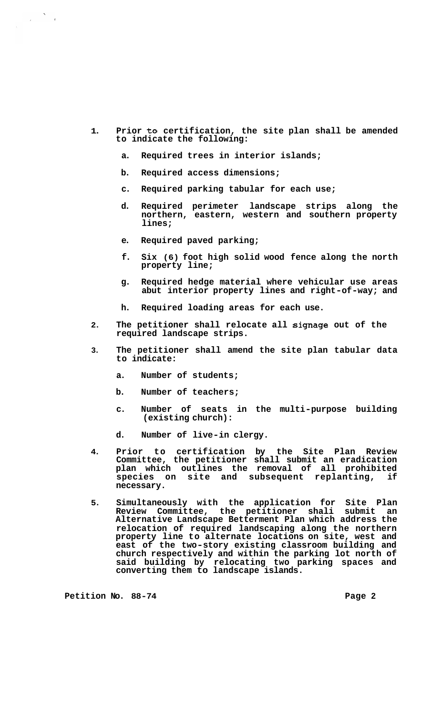- **1. Prior to certification, the site plan shall be amended to indicate the following:** 
	- **a. Required trees in interior islands;**
	- **b. Required access dimensions;**
	- **c. Required parking tabular for each use;**
	- **d. Required perimeter landscape strips along the northern, eastern, western and southern property lines;**
	- **e. Required paved parking;**
	- **f. Six (6) foot high solid wood fence along the north property line;**
	- **g. Required hedge material where vehicular use areas abut interior property lines and right-of-way; and**
	- **h. Required loading areas for each use.**
- **2. The petitioner shall relocate all signage out of the required landscape strips.**
- **3. The petitioner shall amend the site plan tabular data to indicate:** 
	- **a. Number of students;**
	- **b. Number of teachers;**
	- **c. Number of seats in the multi-purpose building (existing church):**
	- **d. Number of live-in clergy.**
- **4. Prior to certification by the Site Plan Review Committee, the petitioner shall submit an eradication plan which outlines the removal of all prohibited**  species on site and subsequent replanting, **necessary.**
- **5. Simultaneously with the application for Site Plan Review Committee, the petitioner shali submit an Alternative Landscape Betterment Plan which address the relocation of required landscaping along the northern property line to alternate locations on site, west and east of the two-story existing classroom building and church respectively and within the parking lot north of said building by relocating two parking spaces and converting them to landscape islands.**

Petition No. 88-74 **Page 2 Page 2**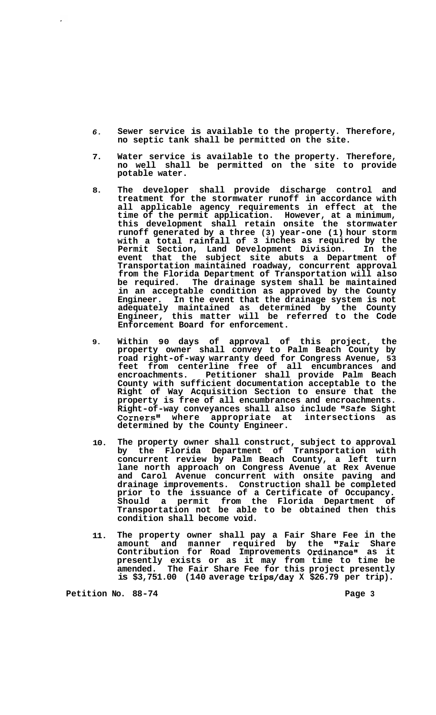- *6.*  **Sewer service is available to the property. Therefore, no septic tank shall be permitted on the site.**
- **7. Water service is available to the property. Therefore, no well shall be permitted on the site to provide potable water.**
- **8. The developer shall provide discharge control and treatment for the stormwater runoff in accordance with all applicable agency requirements in effect at the time of the permit application. However, at a minimum, this development shall retain onsite the stormwater runoff generated by a three (3) year-one (1) hour storm with a total rainfall of 3 inches as required by the Permit Section, Land Development Division. In the event that the subject site abuts a Department of Transportation maintained roadway, concurrent approval from the Florida Department of Transportation will also**  The drainage system shall be maintained **in an acceptable condition as approved by the County Engineer. In the event that the drainage system is not adequately maintained as determined by the County Engineer, this matter will be referred to the Code Enforcement Board for enforcement.**
- **9. Within 90 days of approval of this project, the property owner shall convey to Palm Beach County by road right-of-way warranty deed for Congress Avenue, 53 feet from centerline free of all encumbrances and encroachments. Petitioner shall provide Palm Beach County with sufficient documentation acceptable to the Right of Way Acquisition Section to ensure that the property is free of all encumbrances and encroachments.**  Right-of-way conveyances shall also include "Safe Sight<br>Corners" where appropriate at intersections as Corners" where appropriate at **determined by the County Engineer.**
- **10. The property owner shall construct, subject to approval by the Florida Department of Transportation with concurrent review by Palm Beach County, a left turn lane north approach on Congress Avenue at Rex Avenue and Carol Avenue concurrent with onsite paving and drainage improvements. Construction shall be completed prior to the issuance of a Certificate of Occupancy. Should a permit from the Florida Department of Transportation not be able to be obtained then this condition shall become void.**
- **11. The property owner shall pay a Fair Share Fee in the amount and manner required by the "Fair Share**  Contribution for Road Improvements O**rdinance"** as it **presently exists or as it may from time to time be amended. The Fair Share Fee for this project presently is \$3,751.00 (140 average trips/day X \$26.79 per trip).**

Petition No. 88-74 **Page 3 Page 3**